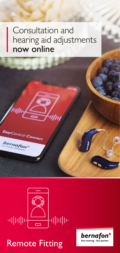#### Consultation and hearing aid adjustments now online



ntrol Connect

bernafor

### Remote Fitting

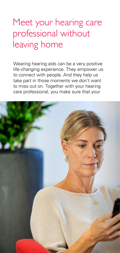# Meet your hearing care professional without leaving home

Wearing hearing aids can be a very positive life-changing experience. They empower us to connect with people. And they help us take part in those moments we don't want to miss out on. Together with your hearing care professional, you make sure that your

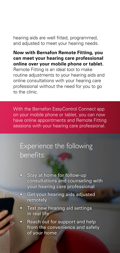hearing aids are well fitted, programmed, and adjusted to meet your hearing needs.

**Now with Bernafon Remote Fitting, you can meet your hearing care professional online over your mobile phone or tablet.** Remote Fitting is an ideal tool to make routine adjustments to your hearing aids and online consultations with your hearing care professional without the need for you to go to the clinic.

With the Bernafon EasyControl Connect app on your mobile phone or tablet, you can now have online appointments and Remote Fitting sessions with your hearing care professional.

#### Experience the following benefits:

- Stay at home for follow-up consultations and counseling with your hearing care professional
- **Get your hearing aids adjusted** remotely
- Test new hearing aid settings in real life
- Reach out for support and help from the convenience and safety of your home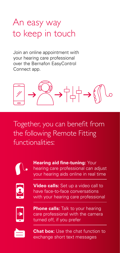# An easy way to keep in touch

Join an online appointment with your hearing care professional over the Bernafon EasyControl Connect app.



Together, you can benefit from the following Remote Fitting functionalities:



**Hearing aid fine-tuning: Your** hearing care professional can adjust your hearing aids online in real time



**Video calls:** Set up a video call to have face-to-face conversations with your hearing care professional



**Phone calls:** Talk to your hearing care professional with the camera turned off, if you prefer



**Chat box:** Use the chat function to exchange short text messages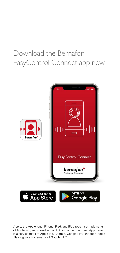#### Download the Bernafon EasyControl Connect app now



Apple, the Apple logo, iPhone, iPad, and iPod touch are trademarks of Apple Inc., registered in the U.S. and other countries. App Store is a service mark of Apple Inc. Android, Google Play, and the Google Play logo are trademarks of Google LLC.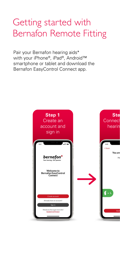# Getting started with Bernafon Remote Fitting

Pair your Bernafon hearing aids\* with your iPhone®, iPad®, Android™ smartphone or tablet and download the Bernafon EasyControl Connect app.

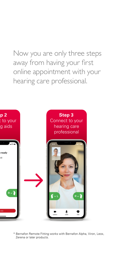Now you are only three steps away from having your first online appointment with your hearing care professional.



\* Bernafon Remote Fitting works with Bernafon Alpha, Viron, Leox, Zerena or later products.